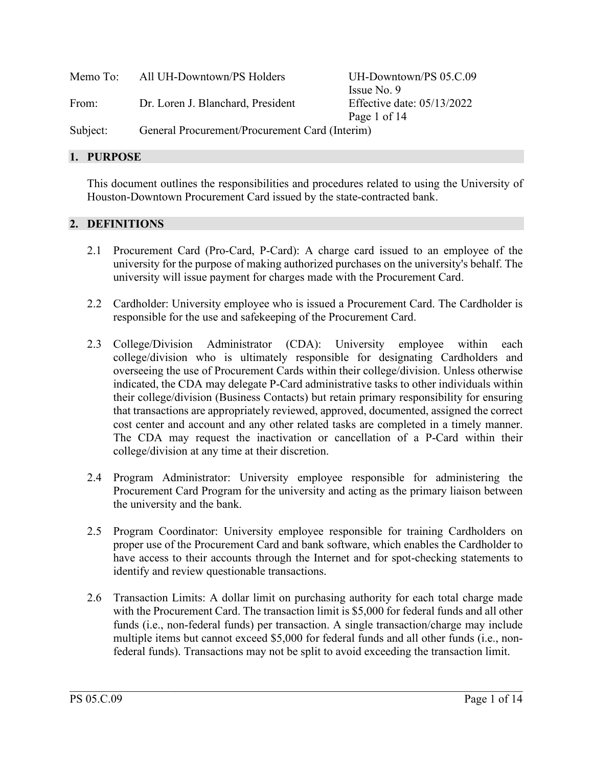| Memo To: | All UH-Downtown/PS Holders                     | UH-Downtown/PS 05.C.09     |
|----------|------------------------------------------------|----------------------------|
|          |                                                | Issue No. 9                |
| From:    | Dr. Loren J. Blanchard, President              | Effective date: 05/13/2022 |
|          |                                                | Page 1 of 14               |
| Subject: | General Procurement/Procurement Card (Interim) |                            |

### **1. PURPOSE**

This document outlines the responsibilities and procedures related to using the University of Houston-Downtown Procurement Card issued by the state-contracted bank.

## **2. DEFINITIONS**

- 2.1 Procurement Card (Pro-Card, P-Card): A charge card issued to an employee of the university for the purpose of making authorized purchases on the university's behalf. The university will issue payment for charges made with the Procurement Card.
- 2.2 Cardholder: University employee who is issued a Procurement Card. The Cardholder is responsible for the use and safekeeping of the Procurement Card.
- 2.3 College/Division Administrator (CDA): University employee within each college/division who is ultimately responsible for designating Cardholders and overseeing the use of Procurement Cards within their college/division. Unless otherwise indicated, the CDA may delegate P-Card administrative tasks to other individuals within their college/division (Business Contacts) but retain primary responsibility for ensuring that transactions are appropriately reviewed, approved, documented, assigned the correct cost center and account and any other related tasks are completed in a timely manner. The CDA may request the inactivation or cancellation of a P-Card within their college/division at any time at their discretion.
- 2.4 Program Administrator: University employee responsible for administering the Procurement Card Program for the university and acting as the primary liaison between the university and the bank.
- 2.5 Program Coordinator: University employee responsible for training Cardholders on proper use of the Procurement Card and bank software, which enables the Cardholder to have access to their accounts through the Internet and for spot-checking statements to identify and review questionable transactions.
- 2.6 Transaction Limits: A dollar limit on purchasing authority for each total charge made with the Procurement Card. The transaction limit is \$5,000 for federal funds and all other funds (i.e., non-federal funds) per transaction. A single transaction/charge may include multiple items but cannot exceed \$5,000 for federal funds and all other funds (i.e., nonfederal funds). Transactions may not be split to avoid exceeding the transaction limit.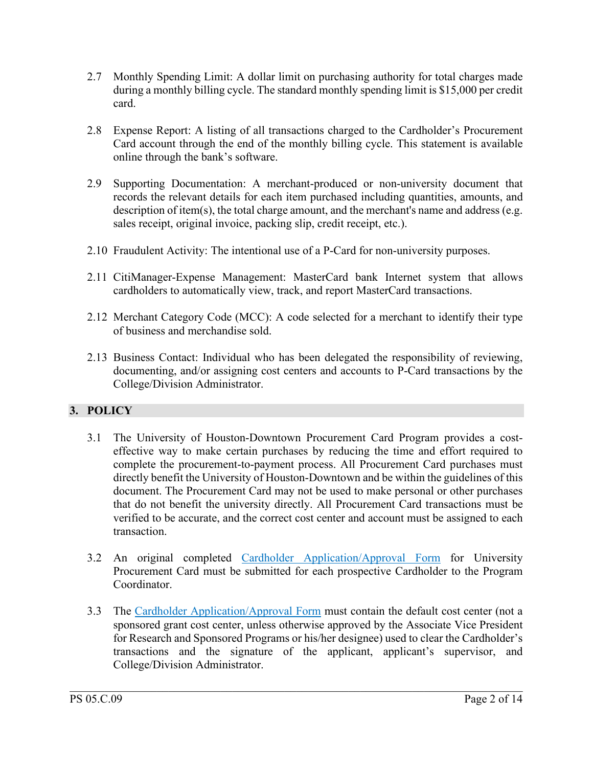- 2.7 Monthly Spending Limit: A dollar limit on purchasing authority for total charges made during a monthly billing cycle. The standard monthly spending limit is \$15,000 per credit card.
- 2.8 Expense Report: A listing of all transactions charged to the Cardholder's Procurement Card account through the end of the monthly billing cycle. This statement is available online through the bank's software.
- 2.9 Supporting Documentation: A merchant-produced or non-university document that records the relevant details for each item purchased including quantities, amounts, and description of item(s), the total charge amount, and the merchant's name and address (e.g. sales receipt, original invoice, packing slip, credit receipt, etc.).
- 2.10 Fraudulent Activity: The intentional use of a P-Card for non-university purposes.
- 2.11 CitiManager-Expense Management: MasterCard bank Internet system that allows cardholders to automatically view, track, and report MasterCard transactions.
- 2.12 Merchant Category Code (MCC): A code selected for a merchant to identify their type of business and merchandise sold.
- 2.13 Business Contact: Individual who has been delegated the responsibility of reviewing, documenting, and/or assigning cost centers and accounts to P-Card transactions by the College/Division Administrator.

# **3. POLICY**

- 3.1 The University of Houston-Downtown Procurement Card Program provides a costeffective way to make certain purchases by reducing the time and effort required to complete the procurement-to-payment process. All Procurement Card purchases must directly benefit the University of Houston-Downtown and be within the guidelines of this document. The Procurement Card may not be used to make personal or other purchases that do not benefit the university directly. All Procurement Card transactions must be verified to be accurate, and the correct cost center and account must be assigned to each transaction.
- 3.2 An original completed [Cardholder Application/Approval Form](https://www.uhd.edu/administration/budget-procurement/Documents/Procurement%20Card%20Application%20Form_04262022.pdf) for University Procurement Card must be submitted for each prospective Cardholder to the Program Coordinator.
- 3.3 The [Cardholder Application/Approval Form](https://www.uhd.edu/administration/budget-procurement/Documents/Procurement%20Card%20Application%20Form_04262022.pdf) must contain the default cost center (not a sponsored grant cost center, unless otherwise approved by the Associate Vice President for Research and Sponsored Programs or his/her designee) used to clear the Cardholder's transactions and the signature of the applicant, applicant's supervisor, and College/Division Administrator.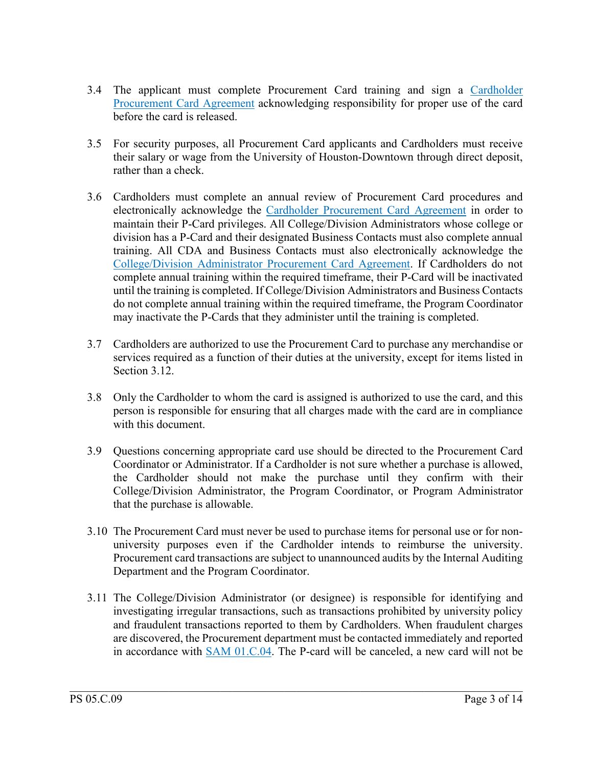- 3.4 The applicant must complete Procurement Card training and sign a [Cardholder](https://www.uhd.edu/administration/budget-procurement/Documents/CitiBankPCardAgreement.pdf)  [Procurement Card Agreement](https://www.uhd.edu/administration/budget-procurement/Documents/CitiBankPCardAgreement.pdf) acknowledging responsibility for proper use of the card before the card is released.
- 3.5 For security purposes, all Procurement Card applicants and Cardholders must receive their salary or wage from the University of Houston-Downtown through direct deposit, rather than a check.
- 3.6 Cardholders must complete an annual review of Procurement Card procedures and electronically acknowledge the [Cardholder Procurement Card Agreement](https://www.uhd.edu/administration/budget-procurement/Documents/CitiBankPCardAgreement.pdf) in order to maintain their P-Card privileges. All College/Division Administrators whose college or division has a P-Card and their designated Business Contacts must also complete annual training. All CDA and Business Contacts must also electronically acknowledge the [College/Division Administrator Procurement Card Agreement.](https://www.uhd.edu/administration/budget-procurement/Documents/cda-agreement.pdf) If Cardholders do not complete annual training within the required timeframe, their P-Card will be inactivated until the training is completed. If College/Division Administrators and Business Contacts do not complete annual training within the required timeframe, the Program Coordinator may inactivate the P-Cards that they administer until the training is completed.
- 3.7 Cardholders are authorized to use the Procurement Card to purchase any merchandise or services required as a function of their duties at the university, except for items listed in Section 3.12.
- 3.8 Only the Cardholder to whom the card is assigned is authorized to use the card, and this person is responsible for ensuring that all charges made with the card are in compliance with this document.
- 3.9 Questions concerning appropriate card use should be directed to the Procurement Card Coordinator or Administrator. If a Cardholder is not sure whether a purchase is allowed, the Cardholder should not make the purchase until they confirm with their College/Division Administrator, the Program Coordinator, or Program Administrator that the purchase is allowable.
- 3.10 The Procurement Card must never be used to purchase items for personal use or for nonuniversity purposes even if the Cardholder intends to reimburse the university. Procurement card transactions are subject to unannounced audits by the Internal Auditing Department and the Program Coordinator.
- 3.11 The College/Division Administrator (or designee) is responsible for identifying and investigating irregular transactions, such as transactions prohibited by university policy and fraudulent transactions reported to them by Cardholders. When fraudulent charges are discovered, the Procurement department must be contacted immediately and reported in accordance with [SAM 01.C.04.](http://www.uhsystem.edu/compliance-ethics/_docs/sam/01/1c4.pdf) The P-card will be canceled, a new card will not be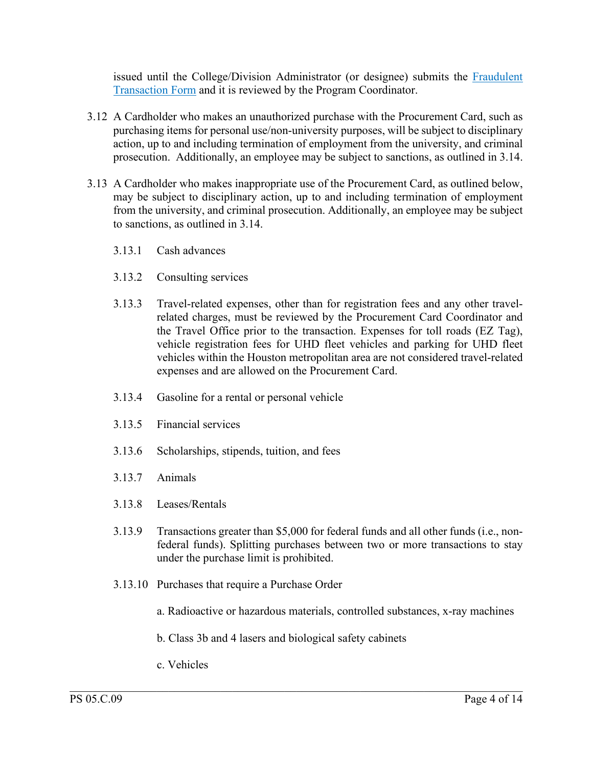issued until the College/Division Administrator (or designee) submits the [Fraudulent](https://www.uhd.edu/administration/budget-procurement/Documents/Fraudulent%20Transaction%20Form_04282022.pdf)  [Transaction Form](https://www.uhd.edu/administration/budget-procurement/Documents/Fraudulent%20Transaction%20Form_04282022.pdf) and it is reviewed by the Program Coordinator.

- 3.12 A Cardholder who makes an unauthorized purchase with the Procurement Card, such as purchasing items for personal use/non-university purposes, will be subject to disciplinary action, up to and including termination of employment from the university, and criminal prosecution. Additionally, an employee may be subject to sanctions, as outlined in 3.14.
- 3.13 A Cardholder who makes inappropriate use of the Procurement Card, as outlined below, may be subject to disciplinary action, up to and including termination of employment from the university, and criminal prosecution. Additionally, an employee may be subject to sanctions, as outlined in 3.14.
	- 3.13.1 Cash advances
	- 3.13.2 Consulting services
	- 3.13.3 Travel-related expenses, other than for registration fees and any other travelrelated charges, must be reviewed by the Procurement Card Coordinator and the Travel Office prior to the transaction. Expenses for toll roads (EZ Tag), vehicle registration fees for UHD fleet vehicles and parking for UHD fleet vehicles within the Houston metropolitan area are not considered travel-related expenses and are allowed on the Procurement Card.
	- 3.13.4 Gasoline for a rental or personal vehicle
	- 3.13.5 Financial services
	- 3.13.6 Scholarships, stipends, tuition, and fees
	- 3.13.7 Animals
	- 3.13.8 Leases/Rentals
	- 3.13.9 Transactions greater than \$5,000 for federal funds and all other funds (i.e., nonfederal funds). Splitting purchases between two or more transactions to stay under the purchase limit is prohibited.
	- 3.13.10 Purchases that require a Purchase Order
		- a. Radioactive or hazardous materials, controlled substances, x-ray machines
		- b. Class 3b and 4 lasers and biological safety cabinets

 $\mathcal{L}_\mathcal{L} = \mathcal{L}_\mathcal{L} = \mathcal{L}_\mathcal{L} = \mathcal{L}_\mathcal{L} = \mathcal{L}_\mathcal{L} = \mathcal{L}_\mathcal{L} = \mathcal{L}_\mathcal{L} = \mathcal{L}_\mathcal{L} = \mathcal{L}_\mathcal{L} = \mathcal{L}_\mathcal{L} = \mathcal{L}_\mathcal{L} = \mathcal{L}_\mathcal{L} = \mathcal{L}_\mathcal{L} = \mathcal{L}_\mathcal{L} = \mathcal{L}_\mathcal{L} = \mathcal{L}_\mathcal{L} = \mathcal{L}_\mathcal{L}$ 

c. Vehicles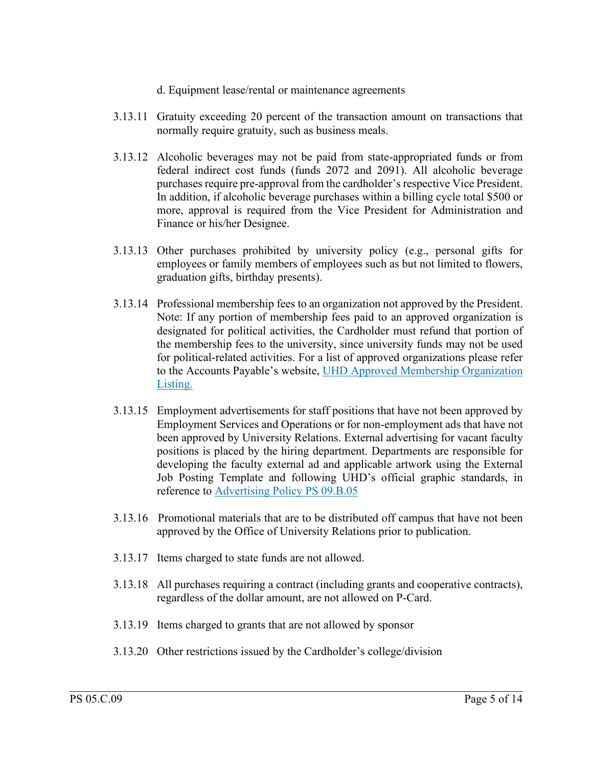- d. Equipment lease/rental or maintenance agreements
- 3.13.11 Gratuity exceeding 20 percent of the transaction amount on transactions that normally require gratuity, such as business meals.
- 3.13.12 Alcoholic beverages may not be paid from state-appropriated funds or from federal indirect cost funds (funds 2072 and 2091). All alcoholic beverage purchases require pre-approval from the cardholder's respective Vice President. In addition, if alcoholic beverage purchases within a billing cycle total \$500 or more, approval is required from the Vice President for Administration and Finance or his/her Designee.
- 3.13.13 Other purchases prohibited by university policy (e.g., personal gifts for employees or family members of employees such as but not limited to flowers, graduation gifts, birthday presents).
- 3.13.14 Professional membership fees to an organization not approved by the President. Note: If any portion of membership fees paid to an approved organization is designated for political activities, the Cardholder must refund that portion of the membership fees to the university, since university funds may not be used for political-related activities. For a list of approved organizations please refer to the Accounts Payable's website, [UHD Approved Membership Organization](https://www.uhd.edu/administration/business-affairs/Pages/Accounts-Payable.aspx)  [Listing.](https://www.uhd.edu/administration/business-affairs/Pages/Accounts-Payable.aspx)
- 3.13.15 Employment advertisements for staff positions that have not been approved by Employment Services and Operations or for non-employment ads that have not been approved by University Relations. External advertising for vacant faculty positions is placed by the hiring department. Departments are responsible for developing the faculty external ad and applicable artwork using the External Job Posting Template and following UHD's official graphic standards, in reference to [Advertising Policy PS](https://www.uhd.edu/administration/employment-services-operations/resources/Pages/PS-09.B.05---Advertising.aspx) 09.B.05
- 3.13.16 Promotional materials that are to be distributed off campus that have not been approved by the Office of University Relations prior to publication.
- 3.13.17 Items charged to state funds are not allowed.
- 3.13.18 All purchases requiring a contract (including grants and cooperative contracts), regardless of the dollar amount, are not allowed on P-Card.
- 3.13.19 Items charged to grants that are not allowed by sponsor
- 3.13.20 Other restrictions issued by the Cardholder's college/division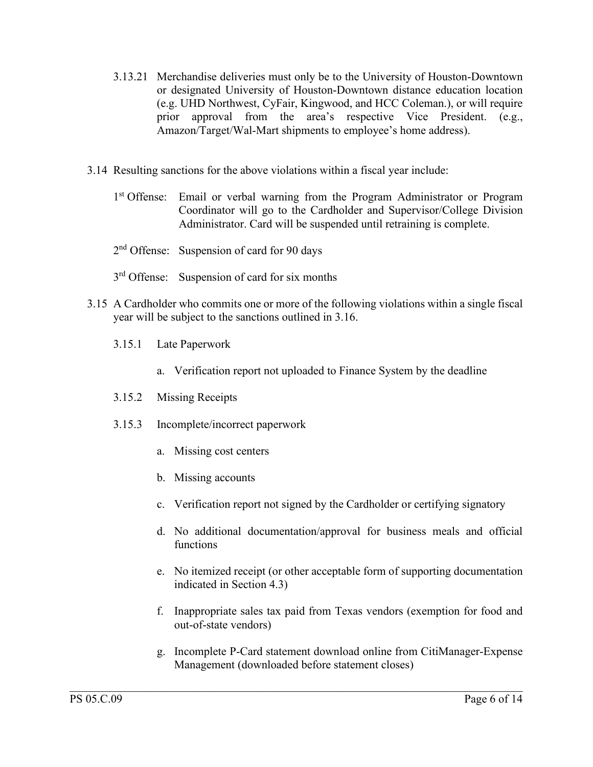- 3.13.21 Merchandise deliveries must only be to the University of Houston-Downtown or designated University of Houston-Downtown distance education location (e.g. UHD Northwest, CyFair, Kingwood, and HCC Coleman.), or will require prior approval from the area's respective Vice President. (e.g., Amazon/Target/Wal-Mart shipments to employee's home address).
- 3.14 Resulting sanctions for the above violations within a fiscal year include:
	- 1<sup>st</sup> Offense: Email or verbal warning from the Program Administrator or Program Coordinator will go to the Cardholder and Supervisor/College Division Administrator. Card will be suspended until retraining is complete.
	- 2<sup>nd</sup> Offense: Suspension of card for 90 days
	- 3<sup>rd</sup> Offense: Suspension of card for six months
- 3.15 A Cardholder who commits one or more of the following violations within a single fiscal year will be subject to the sanctions outlined in 3.16.
	- 3.15.1 Late Paperwork
		- a. Verification report not uploaded to Finance System by the deadline
	- 3.15.2 Missing Receipts
	- 3.15.3 Incomplete/incorrect paperwork
		- a. Missing cost centers
		- b. Missing accounts
		- c. Verification report not signed by the Cardholder or certifying signatory
		- d. No additional documentation/approval for business meals and official functions
		- e. No itemized receipt (or other acceptable form of supporting documentation indicated in Section 4.3)
		- f. Inappropriate sales tax paid from Texas vendors (exemption for food and out-of-state vendors)
		- g. Incomplete P-Card statement download online from CitiManager-Expense Management (downloaded before statement closes)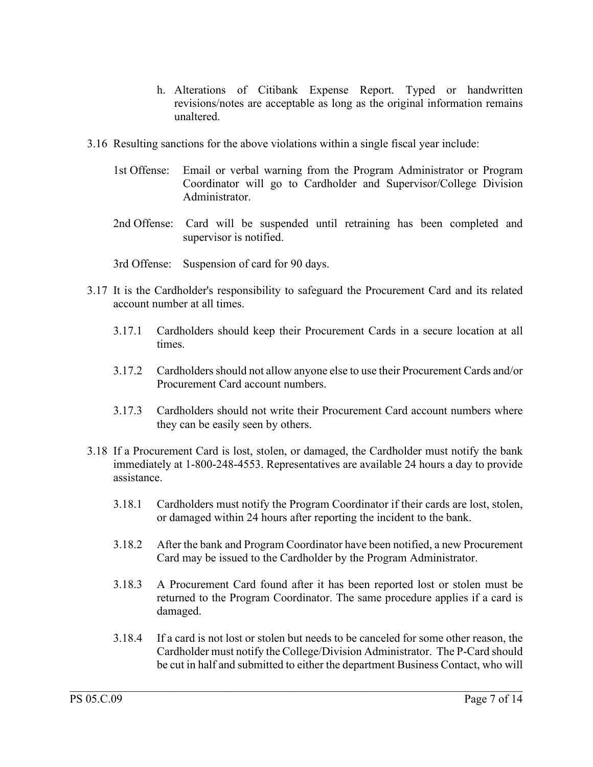- h. Alterations of Citibank Expense Report. Typed or handwritten revisions/notes are acceptable as long as the original information remains unaltered.
- 3.16 Resulting sanctions for the above violations within a single fiscal year include:
	- 1st Offense: Email or verbal warning from the Program Administrator or Program Coordinator will go to Cardholder and Supervisor/College Division Administrator.
	- 2nd Offense: Card will be suspended until retraining has been completed and supervisor is notified.
	- 3rd Offense: Suspension of card for 90 days.
- 3.17 It is the Cardholder's responsibility to safeguard the Procurement Card and its related account number at all times.
	- 3.17.1 Cardholders should keep their Procurement Cards in a secure location at all times.
	- 3.17.2 Cardholders should not allow anyone else to use their Procurement Cards and/or Procurement Card account numbers.
	- 3.17.3 Cardholders should not write their Procurement Card account numbers where they can be easily seen by others.
- 3.18 If a Procurement Card is lost, stolen, or damaged, the Cardholder must notify the bank immediately at 1-800-248-4553. Representatives are available 24 hours a day to provide assistance.
	- 3.18.1 Cardholders must notify the Program Coordinator if their cards are lost, stolen, or damaged within 24 hours after reporting the incident to the bank.
	- 3.18.2 After the bank and Program Coordinator have been notified, a new Procurement Card may be issued to the Cardholder by the Program Administrator.
	- 3.18.3 A Procurement Card found after it has been reported lost or stolen must be returned to the Program Coordinator. The same procedure applies if a card is damaged.
	- 3.18.4 If a card is not lost or stolen but needs to be canceled for some other reason, the Cardholder must notify the College/Division Administrator. The P-Card should be cut in half and submitted to either the department Business Contact, who will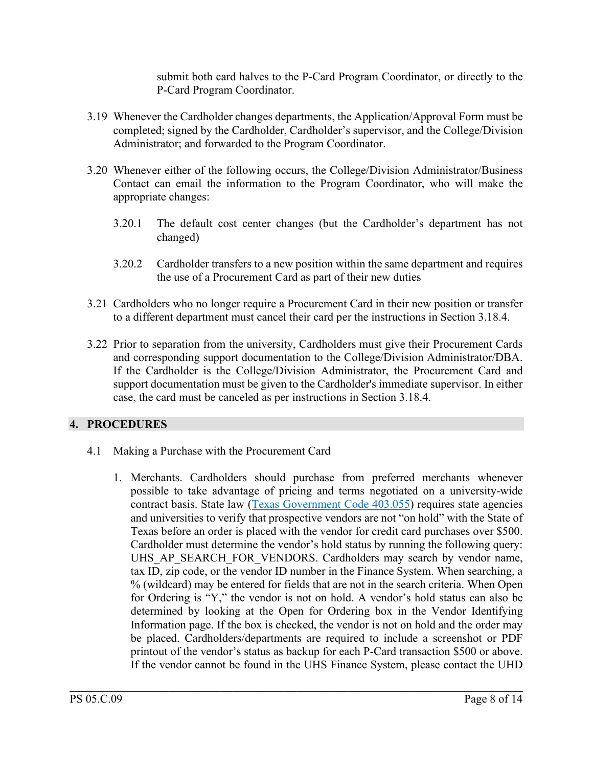submit both card halves to the P-Card Program Coordinator, or directly to the P-Card Program Coordinator.

- 3.19 Whenever the Cardholder changes departments, the Application/Approval Form must be completed; signed by the Cardholder, Cardholder's supervisor, and the College/Division Administrator; and forwarded to the Program Coordinator.
- 3.20 Whenever either of the following occurs, the College/Division Administrator/Business Contact can email the information to the Program Coordinator, who will make the appropriate changes:
	- 3.20.1 The default cost center changes (but the Cardholder's department has not changed)
	- 3.20.2 Cardholder transfers to a new position within the same department and requires the use of a Procurement Card as part of their new duties
- 3.21 Cardholders who no longer require a Procurement Card in their new position or transfer to a different department must cancel their card per the instructions in Section 3.18.4.
- 3.22 Prior to separation from the university, Cardholders must give their Procurement Cards and corresponding support documentation to the College/Division Administrator/DBA. If the Cardholder is the College/Division Administrator, the Procurement Card and support documentation must be given to the Cardholder's immediate supervisor. In either case, the card must be canceled as per instructions in Section 3.18.4.

# **4. PROCEDURES**

- 4.1 Making a Purchase with the Procurement Card
	- 1. Merchants. Cardholders should purchase from preferred merchants whenever possible to take advantage of pricing and terms negotiated on a university-wide contract basis. State law [\(Texas Government Code 403.055\)](http://www.statutes.legis.state.tx.us/Docs/GV/pdf/GV.403.pdf) requires state agencies and universities to verify that prospective vendors are not "on hold" with the State of Texas before an order is placed with the vendor for credit card purchases over \$500. Cardholder must determine the vendor's hold status by running the following query: UHS AP SEARCH FOR VENDORS. Cardholders may search by vendor name, tax ID, zip code, or the vendor ID number in the Finance System. When searching, a % (wildcard) may be entered for fields that are not in the search criteria. When Open for Ordering is "Y," the vendor is not on hold. A vendor's hold status can also be determined by looking at the Open for Ordering box in the Vendor Identifying Information page. If the box is checked, the vendor is not on hold and the order may be placed. Cardholders/departments are required to include a screenshot or PDF printout of the vendor's status as backup for each P-Card transaction \$500 or above. If the vendor cannot be found in the UHS Finance System, please contact the UHD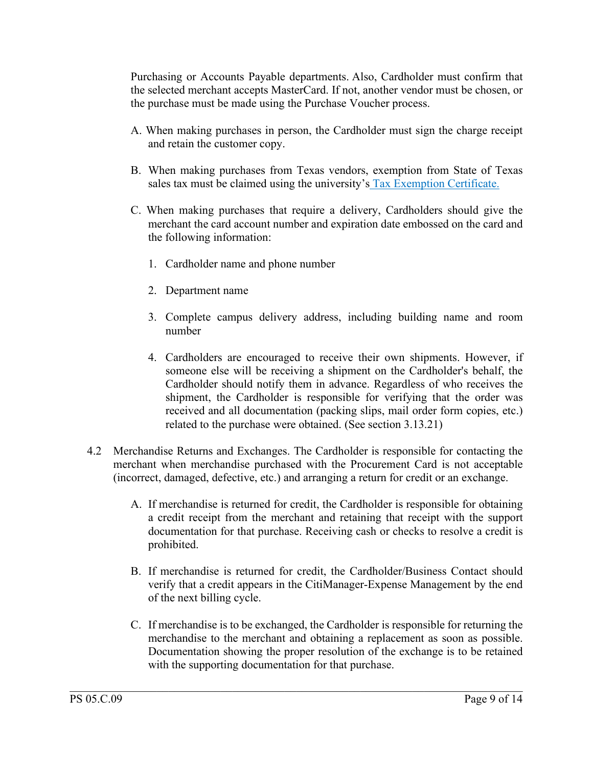Purchasing or Accounts Payable departments. Also, Cardholder must confirm that the selected merchant accepts MasterCard. If not, another vendor must be chosen, or the purchase must be made using the Purchase Voucher process.

- A. When making purchases in person, the Cardholder must sign the charge receipt and retain the customer copy.
- B. When making purchases from Texas vendors, exemption from State of Texas sales tax must be claimed using the university's [Tax Exemption Certificate.](https://www.uhd.edu/administration/business-affairs/Documents/Texas_Sales_And_Use_Tax_Exemption_Certification_2022.pdf)
- C. When making purchases that require a delivery, Cardholders should give the merchant the card account number and expiration date embossed on the card and the following information:
	- 1. Cardholder name and phone number
	- 2. Department name
	- 3. Complete campus delivery address, including building name and room number
	- 4. Cardholders are encouraged to receive their own shipments. However, if someone else will be receiving a shipment on the Cardholder's behalf, the Cardholder should notify them in advance. Regardless of who receives the shipment, the Cardholder is responsible for verifying that the order was received and all documentation (packing slips, mail order form copies, etc.) related to the purchase were obtained. (See section 3.13.21)
- 4.2 Merchandise Returns and Exchanges. The Cardholder is responsible for contacting the merchant when merchandise purchased with the Procurement Card is not acceptable (incorrect, damaged, defective, etc.) and arranging a return for credit or an exchange.
	- A. If merchandise is returned for credit, the Cardholder is responsible for obtaining a credit receipt from the merchant and retaining that receipt with the support documentation for that purchase. Receiving cash or checks to resolve a credit is prohibited.
	- B. If merchandise is returned for credit, the Cardholder/Business Contact should verify that a credit appears in the CitiManager-Expense Management by the end of the next billing cycle.
	- C. If merchandise is to be exchanged, the Cardholder is responsible for returning the merchandise to the merchant and obtaining a replacement as soon as possible. Documentation showing the proper resolution of the exchange is to be retained with the supporting documentation for that purchase.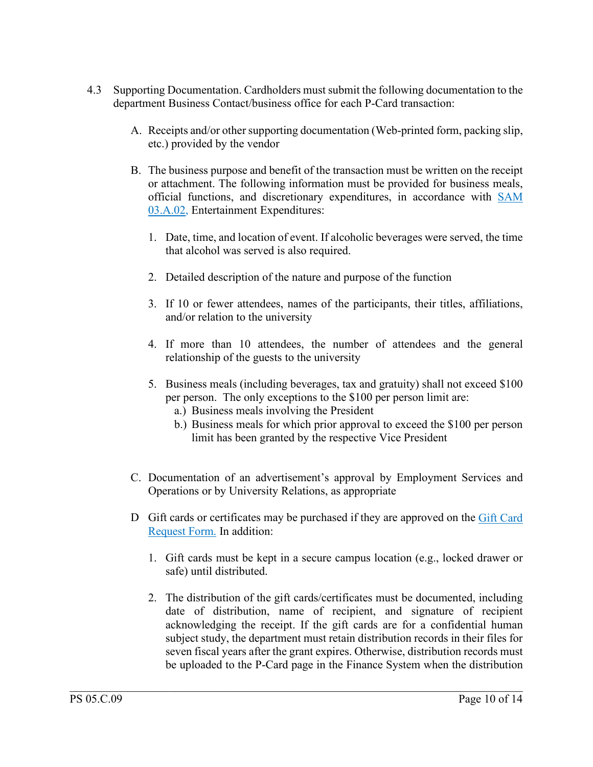- 4.3 Supporting Documentation. Cardholders must submit the following documentation to the department Business Contact/business office for each P-Card transaction:
	- A. Receipts and/or other supporting documentation (Web-printed form, packing slip, etc.) provided by the vendor
	- B. The business purpose and benefit of the transaction must be written on the receipt or attachment. The following information must be provided for business meals, official functions, and discretionary expenditures, in accordance with [SAM](http://www.uhsystem.edu/compliance-ethics/_docs/sam/03/3a2.pdf)  [03.A.02,](http://www.uhsystem.edu/compliance-ethics/_docs/sam/03/3a2.pdf) Entertainment Expenditures:
		- 1. Date, time, and location of event. If alcoholic beverages were served, the time that alcohol was served is also required.
		- 2. Detailed description of the nature and purpose of the function
		- 3. If 10 or fewer attendees, names of the participants, their titles, affiliations, and/or relation to the university
		- 4. If more than 10 attendees, the number of attendees and the general relationship of the guests to the university
		- 5. Business meals (including beverages, tax and gratuity) shall not exceed \$100 per person. The only exceptions to the \$100 per person limit are:
			- a.) Business meals involving the President
			- b.) Business meals for which prior approval to exceed the \$100 per person limit has been granted by the respective Vice President
	- C. Documentation of an advertisement's approval by Employment Services and Operations or by University Relations, as appropriate
	- D Gift cards or certificates may be purchased if they are approved on the [Gift Card](https://www.uhd.edu/administration/budget-procurement/Documents/Gift%20Card%20Request%20Form_04282022.pdf)  [Request Form.](https://www.uhd.edu/administration/budget-procurement/Documents/Gift%20Card%20Request%20Form_04282022.pdf) In addition:
		- 1. Gift cards must be kept in a secure campus location (e.g., locked drawer or safe) until distributed.
		- 2. The distribution of the gift cards/certificates must be documented, including date of distribution, name of recipient, and signature of recipient acknowledging the receipt. If the gift cards are for a confidential human subject study, the department must retain distribution records in their files for seven fiscal years after the grant expires. Otherwise, distribution records must be uploaded to the P-Card page in the Finance System when the distribution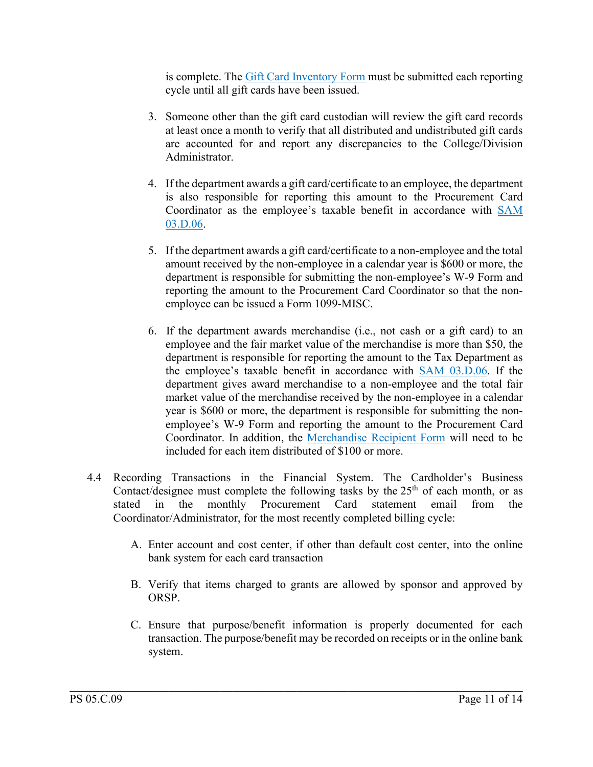is complete. The [Gift Card Inventory Form](https://www.uhd.edu/administration/budget-procurement/Documents/Gift%20Card%20Inventory%20Form_04282022.pdf) must be submitted each reporting cycle until all gift cards have been issued.

- 3. Someone other than the gift card custodian will review the gift card records at least once a month to verify that all distributed and undistributed gift cards are accounted for and report any discrepancies to the College/Division Administrator.
- 4. If the department awards a gift card/certificate to an employee, the department is also responsible for reporting this amount to the Procurement Card Coordinator as the employee's taxable benefit in accordance with [SAM](http://www.uhsystem.edu/compliance-ethics/_docs/sam/03/3d6.pdf)  [03.D.06.](http://www.uhsystem.edu/compliance-ethics/_docs/sam/03/3d6.pdf)
- 5. If the department awards a gift card/certificate to a non-employee and the total amount received by the non-employee in a calendar year is \$600 or more, the department is responsible for submitting the non-employee's W-9 Form and reporting the amount to the Procurement Card Coordinator so that the nonemployee can be issued a Form 1099-MISC.
- 6. If the department awards merchandise (i.e., not cash or a gift card) to an employee and the fair market value of the merchandise is more than \$50, the department is responsible for reporting the amount to the Tax Department as the employee's taxable benefit in accordance with [SAM 03.D.06.](http://www.uhsystem.edu/compliance-ethics/_docs/sam/03/3d6.pdf) If the department gives award merchandise to a non-employee and the total fair market value of the merchandise received by the non-employee in a calendar year is \$600 or more, the department is responsible for submitting the nonemployee's W-9 Form and reporting the amount to the Procurement Card Coordinator. In addition, the [Merchandise Recipient Form](https://www.uhd.edu/administration/budget-procurement/Documents/Merchandise%20Recipient%20Form_04282022.pdf) will need to be included for each item distributed of \$100 or more.
- 4.4 Recording Transactions in the Financial System. The Cardholder's Business Contact/designee must complete the following tasks by the  $25<sup>th</sup>$  of each month, or as stated in the monthly Procurement Card statement email from the Coordinator/Administrator, for the most recently completed billing cycle:
	- A. Enter account and cost center, if other than default cost center, into the online bank system for each card transaction
	- B. Verify that items charged to grants are allowed by sponsor and approved by ORSP.
	- C. Ensure that purpose/benefit information is properly documented for each transaction. The purpose/benefit may be recorded on receipts or in the online bank system.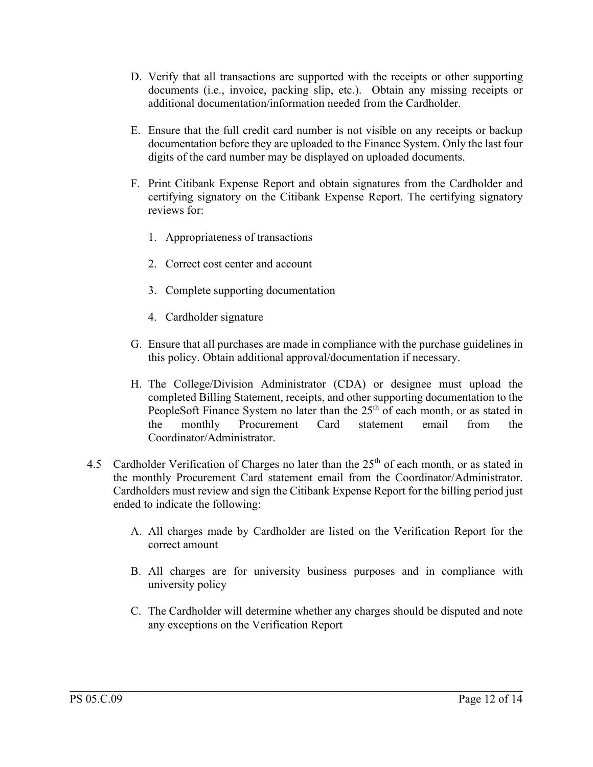- D. Verify that all transactions are supported with the receipts or other supporting documents (i.e., invoice, packing slip, etc.). Obtain any missing receipts or additional documentation/information needed from the Cardholder.
- E. Ensure that the full credit card number is not visible on any receipts or backup documentation before they are uploaded to the Finance System. Only the last four digits of the card number may be displayed on uploaded documents.
- F. Print Citibank Expense Report and obtain signatures from the Cardholder and certifying signatory on the Citibank Expense Report. The certifying signatory reviews for:
	- 1. Appropriateness of transactions
	- 2. Correct cost center and account
	- 3. Complete supporting documentation
	- 4. Cardholder signature
- G. Ensure that all purchases are made in compliance with the purchase guidelines in this policy. Obtain additional approval/documentation if necessary.
- H. The College/Division Administrator (CDA) or designee must upload the completed Billing Statement, receipts, and other supporting documentation to the PeopleSoft Finance System no later than the  $25<sup>th</sup>$  of each month, or as stated in the monthly Procurement Card statement email from the Coordinator/Administrator.
- 4.5 Cardholder Verification of Charges no later than the  $25<sup>th</sup>$  of each month, or as stated in the monthly Procurement Card statement email from the Coordinator/Administrator. Cardholders must review and sign the Citibank Expense Report for the billing period just ended to indicate the following:
	- A. All charges made by Cardholder are listed on the Verification Report for the correct amount
	- B. All charges are for university business purposes and in compliance with university policy
	- C. The Cardholder will determine whether any charges should be disputed and note any exceptions on the Verification Report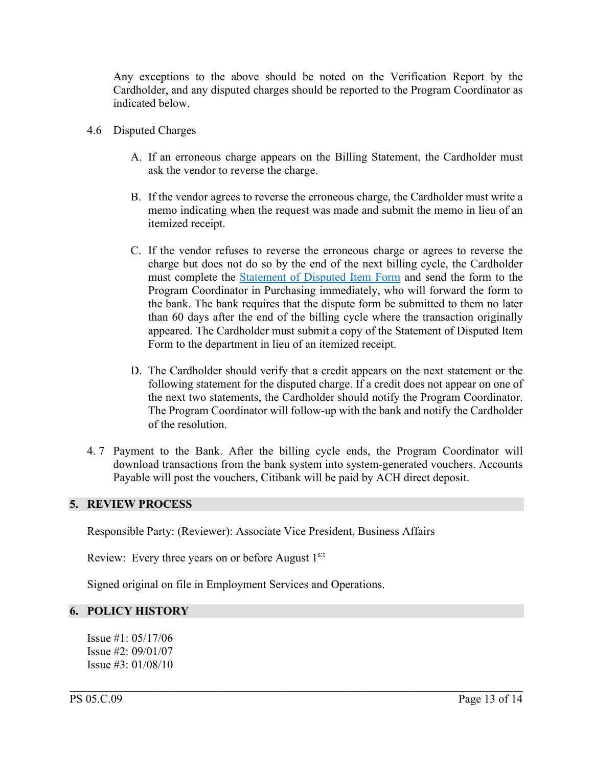Any exceptions to the above should be noted on the Verification Report by the Cardholder, and any disputed charges should be reported to the Program Coordinator as indicated below.

- 4.6 Disputed Charges
	- A. If an erroneous charge appears on the Billing Statement, the Cardholder must ask the vendor to reverse the charge.
	- B. If the vendor agrees to reverse the erroneous charge, the Cardholder must write a memo indicating when the request was made and submit the memo in lieu of an itemized receipt.
	- C. If the vendor refuses to reverse the erroneous charge or agrees to reverse the charge but does not do so by the end of the next billing cycle, the Cardholder must complete the [Statement of Disputed Item Form](https://www.uhd.edu/administration/budget-procurement/Documents/DisputeForm_000.pdf) and send the form to the Program Coordinator in Purchasing immediately, who will forward the form to the bank. The bank requires that the dispute form be submitted to them no later than 60 days after the end of the billing cycle where the transaction originally appeared. The Cardholder must submit a copy of the Statement of Disputed Item Form to the department in lieu of an itemized receipt.
	- D. The Cardholder should verify that a credit appears on the next statement or the following statement for the disputed charge. If a credit does not appear on one of the next two statements, the Cardholder should notify the Program Coordinator. The Program Coordinator will follow-up with the bank and notify the Cardholder of the resolution.
- 4. 7 Payment to the Bank. After the billing cycle ends, the Program Coordinator will download transactions from the bank system into system-generated vouchers. Accounts Payable will post the vouchers, Citibank will be paid by ACH direct deposit.

 $\mathcal{L}_\mathcal{L} = \mathcal{L}_\mathcal{L} = \mathcal{L}_\mathcal{L} = \mathcal{L}_\mathcal{L} = \mathcal{L}_\mathcal{L} = \mathcal{L}_\mathcal{L} = \mathcal{L}_\mathcal{L} = \mathcal{L}_\mathcal{L} = \mathcal{L}_\mathcal{L} = \mathcal{L}_\mathcal{L} = \mathcal{L}_\mathcal{L} = \mathcal{L}_\mathcal{L} = \mathcal{L}_\mathcal{L} = \mathcal{L}_\mathcal{L} = \mathcal{L}_\mathcal{L} = \mathcal{L}_\mathcal{L} = \mathcal{L}_\mathcal{L}$ 

### **5. REVIEW PROCESS**

Responsible Party: (Reviewer): Associate Vice President, Business Affairs

Review: Every three years on or before August 1<sup>s:t</sup>

Signed original on file in Employment Services and Operations.

### **6. POLICY HISTORY**

Issue #1: 05/17/06 Issue #2: 09/01/07 Issue #3: 01/08/10